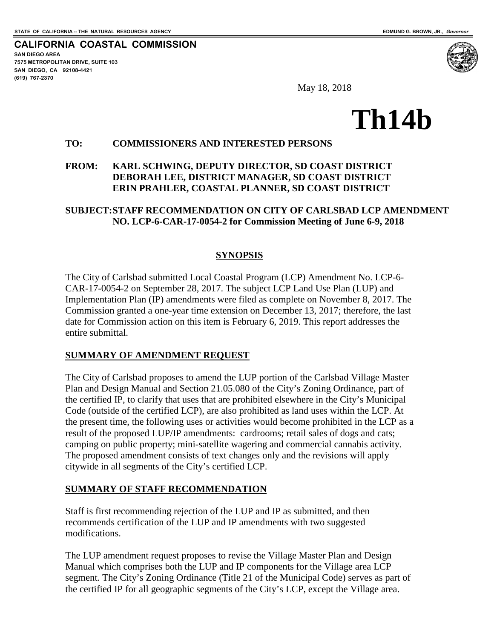$\overline{a}$ 

**CALIFORNIA COASTAL COMMISSION SAN DIEGO AREA 7575 METROPOLITAN DRIVE, SUITE 103 SAN DIEGO, CA 92108-4421 (619) 767-2370**



May 18, 2018

# **Th14b**

#### **TO: COMMISSIONERS AND INTERESTED PERSONS**

#### **FROM: KARL SCHWING, DEPUTY DIRECTOR, SD COAST DISTRICT DEBORAH LEE, DISTRICT MANAGER, SD COAST DISTRICT ERIN PRAHLER, COASTAL PLANNER, SD COAST DISTRICT**

**SUBJECT:STAFF RECOMMENDATION ON CITY OF CARLSBAD LCP AMENDMENT NO. LCP-6-CAR-17-0054-2 for Commission Meeting of June 6-9, 2018** 

#### **SYNOPSIS**

The City of Carlsbad submitted Local Coastal Program (LCP) Amendment No. LCP-6- CAR-17-0054-2 on September 28, 2017. The subject LCP Land Use Plan (LUP) and Implementation Plan (IP) amendments were filed as complete on November 8, 2017. The Commission granted a one-year time extension on December 13, 2017; therefore, the last date for Commission action on this item is February 6, 2019. This report addresses the entire submittal.

#### **SUMMARY OF AMENDMENT REQUEST**

The City of Carlsbad proposes to amend the LUP portion of the Carlsbad Village Master Plan and Design Manual and Section 21.05.080 of the City's Zoning Ordinance, part of the certified IP, to clarify that uses that are prohibited elsewhere in the City's Municipal Code (outside of the certified LCP), are also prohibited as land uses within the LCP. At the present time, the following uses or activities would become prohibited in the LCP as a result of the proposed LUP/IP amendments: cardrooms; retail sales of dogs and cats; camping on public property; mini-satellite wagering and commercial cannabis activity. The proposed amendment consists of text changes only and the revisions will apply citywide in all segments of the City's certified LCP.

#### **SUMMARY OF STAFF RECOMMENDATION**

Staff is first recommending rejection of the LUP and IP as submitted, and then recommends certification of the LUP and IP amendments with two suggested modifications.

The LUP amendment request proposes to revise the Village Master Plan and Design Manual which comprises both the LUP and IP components for the Village area LCP segment. The City's Zoning Ordinance (Title 21 of the Municipal Code) serves as part of the certified IP for all geographic segments of the City's LCP, except the Village area.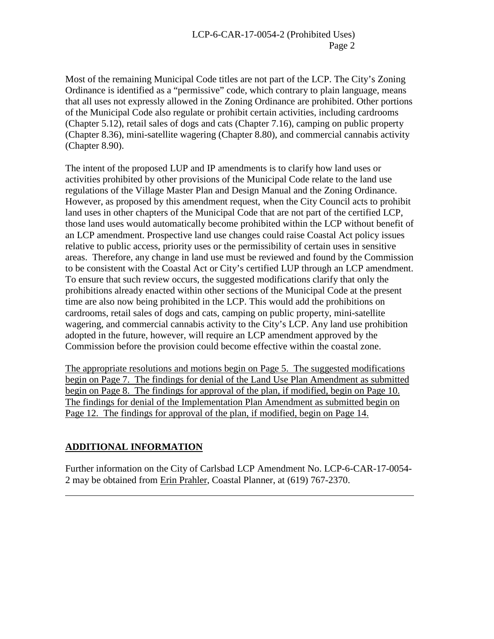Most of the remaining Municipal Code titles are not part of the LCP. The City's Zoning Ordinance is identified as a "permissive" code, which contrary to plain language, means that all uses not expressly allowed in the Zoning Ordinance are prohibited. Other portions of the Municipal Code also regulate or prohibit certain activities, including cardrooms (Chapter 5.12), retail sales of dogs and cats (Chapter 7.16), camping on public property (Chapter 8.36), mini-satellite wagering (Chapter 8.80), and commercial cannabis activity (Chapter 8.90).

The intent of the proposed LUP and IP amendments is to clarify how land uses or activities prohibited by other provisions of the Municipal Code relate to the land use regulations of the Village Master Plan and Design Manual and the Zoning Ordinance. However, as proposed by this amendment request, when the City Council acts to prohibit land uses in other chapters of the Municipal Code that are not part of the certified LCP, those land uses would automatically become prohibited within the LCP without benefit of an LCP amendment. Prospective land use changes could raise Coastal Act policy issues relative to public access, priority uses or the permissibility of certain uses in sensitive areas. Therefore, any change in land use must be reviewed and found by the Commission to be consistent with the Coastal Act or City's certified LUP through an LCP amendment. To ensure that such review occurs, the suggested modifications clarify that only the prohibitions already enacted within other sections of the Municipal Code at the present time are also now being prohibited in the LCP. This would add the prohibitions on cardrooms, retail sales of dogs and cats, camping on public property, mini-satellite wagering, and commercial cannabis activity to the City's LCP. Any land use prohibition adopted in the future, however, will require an LCP amendment approved by the Commission before the provision could become effective within the coastal zone.

The appropriate resolutions and motions begin on Page 5. The suggested modifications begin on Page 7. The findings for denial of the Land Use Plan Amendment as submitted begin on Page 8. The findings for approval of the plan, if modified, begin on Page 10. The findings for denial of the Implementation Plan Amendment as submitted begin on Page 12. The findings for approval of the plan, if modified, begin on Page 14.

# **ADDITIONAL INFORMATION**

 $\overline{a}$ 

Further information on the City of Carlsbad LCP Amendment No. LCP-6-CAR-17-0054- 2 may be obtained from Erin Prahler, Coastal Planner, at (619) 767-2370.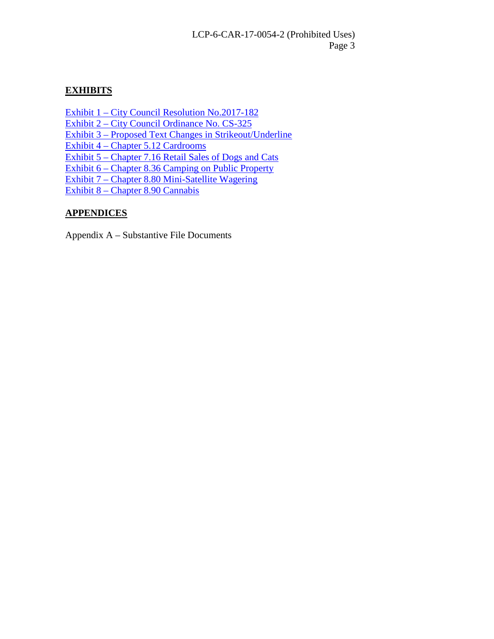# **EXHIBITS**

[Exhibit 1 – City Council Resolution No.2017-182](https://documents.coastal.ca.gov/reports/2018/6/14B/14B-6-2018-exhibits.pdf) 

[Exhibit 2 – City Council Ordinance No. CS-325](https://documents.coastal.ca.gov/reports/2018/6/14B/14B-6-2018-exhibits.pdf) 

[Exhibit 3 – Proposed Text Changes in Strikeout/Underline](https://documents.coastal.ca.gov/reports/2018/6/14B/14B-6-2018-exhibits.pdf) 

[Exhibit 4 – Chapter 5.12 Cardrooms](https://documents.coastal.ca.gov/reports/2018/6/14B/14B-6-2018-exhibits.pdf) 

[Exhibit 5 – Chapter 7.16 Retail Sales of Dogs and Cats](https://documents.coastal.ca.gov/reports/2018/6/14B/14B-6-2018-exhibits.pdf) 

[Exhibit 6 – Chapter 8.36 Camping on Public Property](https://documents.coastal.ca.gov/reports/2018/6/14B/14B-6-2018-exhibits.pdf) 

[Exhibit 7 – Chapter 8.80 Mini-Satellite Wagering](https://documents.coastal.ca.gov/reports/2018/6/14B/14B-6-2018-exhibits.pdf)

[Exhibit 8 – Chapter 8.90 Cannabis](https://documents.coastal.ca.gov/reports/2018/6/14B/14B-6-2018-exhibits.pdf)

# **APPENDICES**

Appendix A – Substantive File Documents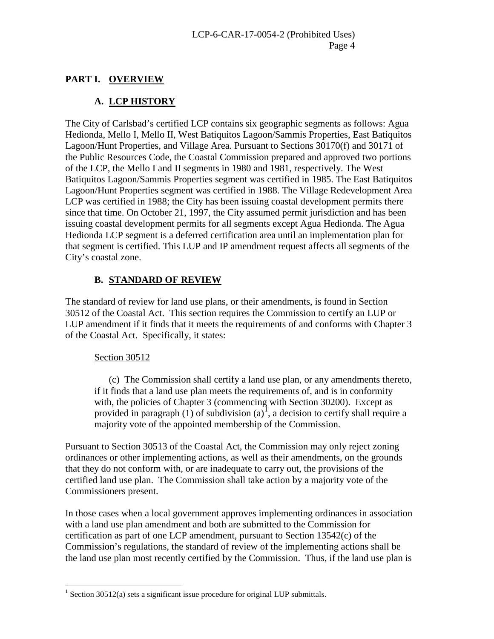# **PART I. OVERVIEW**

# **A. LCP HISTORY**

The City of Carlsbad's certified LCP contains six geographic segments as follows: Agua Hedionda, Mello I, Mello II, West Batiquitos Lagoon/Sammis Properties, East Batiquitos Lagoon/Hunt Properties, and Village Area. Pursuant to Sections 30170(f) and 30171 of the Public Resources Code, the Coastal Commission prepared and approved two portions of the LCP, the Mello I and II segments in 1980 and 1981, respectively. The West Batiquitos Lagoon/Sammis Properties segment was certified in 1985. The East Batiquitos Lagoon/Hunt Properties segment was certified in 1988. The Village Redevelopment Area LCP was certified in 1988; the City has been issuing coastal development permits there since that time. On October 21, 1997, the City assumed permit jurisdiction and has been issuing coastal development permits for all segments except Agua Hedionda. The Agua Hedionda LCP segment is a deferred certification area until an implementation plan for that segment is certified. This LUP and IP amendment request affects all segments of the City's coastal zone.

#### **B. STANDARD OF REVIEW**

The standard of review for land use plans, or their amendments, is found in Section 30512 of the Coastal Act. This section requires the Commission to certify an LUP or LUP amendment if it finds that it meets the requirements of and conforms with Chapter 3 of the Coastal Act. Specifically, it states:

#### Section 30512

 $\overline{a}$ 

(c) The Commission shall certify a land use plan, or any amendments thereto, if it finds that a land use plan meets the requirements of, and is in conformity with, the policies of Chapter 3 (commencing with Section 30200). Except as provided in paragraph  $(1)$  $(1)$  $(1)$  of subdivision  $(a)^{1}$ , a decision to certify shall require a majority vote of the appointed membership of the Commission.

Pursuant to Section 30513 of the Coastal Act, the Commission may only reject zoning ordinances or other implementing actions, as well as their amendments, on the grounds that they do not conform with, or are inadequate to carry out, the provisions of the certified land use plan. The Commission shall take action by a majority vote of the Commissioners present.

In those cases when a local government approves implementing ordinances in association with a land use plan amendment and both are submitted to the Commission for certification as part of one LCP amendment, pursuant to Section 13542(c) of the Commission's regulations, the standard of review of the implementing actions shall be the land use plan most recently certified by the Commission. Thus, if the land use plan is

<span id="page-3-0"></span><sup>&</sup>lt;sup>1</sup> Section 30512(a) sets a significant issue procedure for original LUP submittals.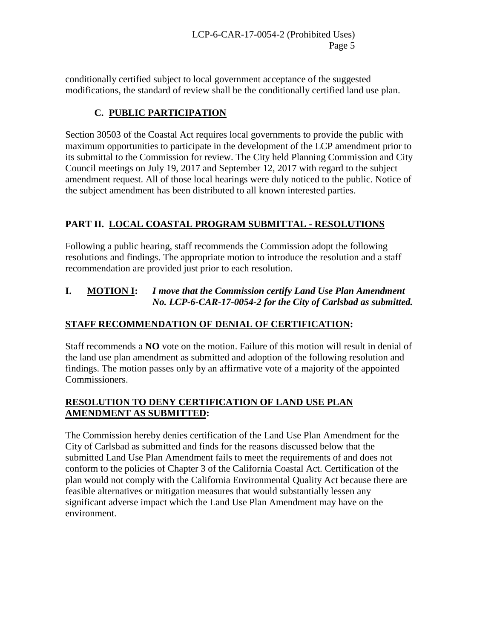conditionally certified subject to local government acceptance of the suggested modifications, the standard of review shall be the conditionally certified land use plan.

# **C. PUBLIC PARTICIPATION**

Section 30503 of the Coastal Act requires local governments to provide the public with maximum opportunities to participate in the development of the LCP amendment prior to its submittal to the Commission for review. The City held Planning Commission and City Council meetings on July 19, 2017 and September 12, 2017 with regard to the subject amendment request. All of those local hearings were duly noticed to the public. Notice of the subject amendment has been distributed to all known interested parties.

# **PART II. LOCAL COASTAL PROGRAM SUBMITTAL - RESOLUTIONS**

Following a public hearing, staff recommends the Commission adopt the following resolutions and findings. The appropriate motion to introduce the resolution and a staff recommendation are provided just prior to each resolution.

## **I. MOTION I:** *I move that the Commission certify Land Use Plan Amendment No. LCP-6-CAR-17-0054-2 for the City of Carlsbad as submitted.*

# **STAFF RECOMMENDATION OF DENIAL OF CERTIFICATION:**

Staff recommends a **NO** vote on the motion. Failure of this motion will result in denial of the land use plan amendment as submitted and adoption of the following resolution and findings. The motion passes only by an affirmative vote of a majority of the appointed Commissioners.

## **RESOLUTION TO DENY CERTIFICATION OF LAND USE PLAN AMENDMENT AS SUBMITTED:**

The Commission hereby denies certification of the Land Use Plan Amendment for the City of Carlsbad as submitted and finds for the reasons discussed below that the submitted Land Use Plan Amendment fails to meet the requirements of and does not conform to the policies of Chapter 3 of the California Coastal Act. Certification of the plan would not comply with the California Environmental Quality Act because there are feasible alternatives or mitigation measures that would substantially lessen any significant adverse impact which the Land Use Plan Amendment may have on the environment.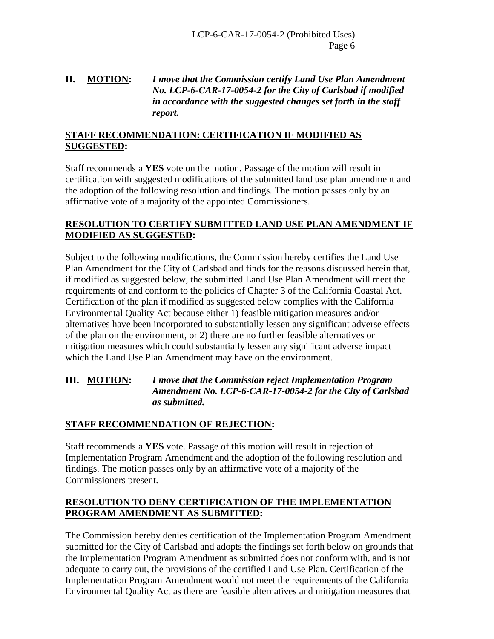# **II. MOTION:** *I move that the Commission certify Land Use Plan Amendment No. LCP-6-CAR-17-0054-2 for the City of Carlsbad if modified in accordance with the suggested changes set forth in the staff report.*

#### **STAFF RECOMMENDATION: CERTIFICATION IF MODIFIED AS SUGGESTED:**

Staff recommends a **YES** vote on the motion. Passage of the motion will result in certification with suggested modifications of the submitted land use plan amendment and the adoption of the following resolution and findings. The motion passes only by an affirmative vote of a majority of the appointed Commissioners.

#### **RESOLUTION TO CERTIFY SUBMITTED LAND USE PLAN AMENDMENT IF MODIFIED AS SUGGESTED:**

Subject to the following modifications, the Commission hereby certifies the Land Use Plan Amendment for the City of Carlsbad and finds for the reasons discussed herein that, if modified as suggested below, the submitted Land Use Plan Amendment will meet the requirements of and conform to the policies of Chapter 3 of the California Coastal Act. Certification of the plan if modified as suggested below complies with the California Environmental Quality Act because either 1) feasible mitigation measures and/or alternatives have been incorporated to substantially lessen any significant adverse effects of the plan on the environment, or 2) there are no further feasible alternatives or mitigation measures which could substantially lessen any significant adverse impact which the Land Use Plan Amendment may have on the environment.

## **III. MOTION:** *I move that the Commission reject Implementation Program Amendment No. LCP-6-CAR-17-0054-2 for the City of Carlsbad as submitted.*

#### **STAFF RECOMMENDATION OF REJECTION:**

Staff recommends a **YES** vote. Passage of this motion will result in rejection of Implementation Program Amendment and the adoption of the following resolution and findings. The motion passes only by an affirmative vote of a majority of the Commissioners present.

#### **RESOLUTION TO DENY CERTIFICATION OF THE IMPLEMENTATION PROGRAM AMENDMENT AS SUBMITTED:**

The Commission hereby denies certification of the Implementation Program Amendment submitted for the City of Carlsbad and adopts the findings set forth below on grounds that the Implementation Program Amendment as submitted does not conform with, and is not adequate to carry out, the provisions of the certified Land Use Plan. Certification of the Implementation Program Amendment would not meet the requirements of the California Environmental Quality Act as there are feasible alternatives and mitigation measures that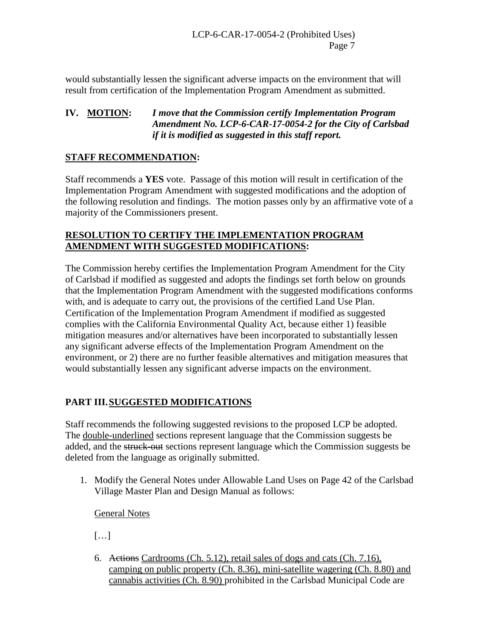would substantially lessen the significant adverse impacts on the environment that will result from certification of the Implementation Program Amendment as submitted.

#### **IV. MOTION:** *I move that the Commission certify Implementation Program Amendment No. LCP-6-CAR-17-0054-2 for the City of Carlsbad if it is modified as suggested in this staff report.*

#### **STAFF RECOMMENDATION:**

Staff recommends a **YES** vote. Passage of this motion will result in certification of the Implementation Program Amendment with suggested modifications and the adoption of the following resolution and findings. The motion passes only by an affirmative vote of a majority of the Commissioners present.

#### **RESOLUTION TO CERTIFY THE IMPLEMENTATION PROGRAM AMENDMENT WITH SUGGESTED MODIFICATIONS:**

The Commission hereby certifies the Implementation Program Amendment for the City of Carlsbad if modified as suggested and adopts the findings set forth below on grounds that the Implementation Program Amendment with the suggested modifications conforms with, and is adequate to carry out, the provisions of the certified Land Use Plan. Certification of the Implementation Program Amendment if modified as suggested complies with the California Environmental Quality Act, because either 1) feasible mitigation measures and/or alternatives have been incorporated to substantially lessen any significant adverse effects of the Implementation Program Amendment on the environment, or 2) there are no further feasible alternatives and mitigation measures that would substantially lessen any significant adverse impacts on the environment.

# **PART III.SUGGESTED MODIFICATIONS**

Staff recommends the following suggested revisions to the proposed LCP be adopted. The double-underlined sections represent language that the Commission suggests be added, and the struck-out sections represent language which the Commission suggests be deleted from the language as originally submitted.

1. Modify the General Notes under Allowable Land Uses on Page 42 of the Carlsbad Village Master Plan and Design Manual as follows:

General Notes

 $[\dots]$ 

6. Actions Cardrooms (Ch. 5.12), retail sales of dogs and cats (Ch. 7.16), camping on public property (Ch. 8.36), mini-satellite wagering (Ch. 8.80) and cannabis activities (Ch. 8.90) prohibited in the Carlsbad Municipal Code are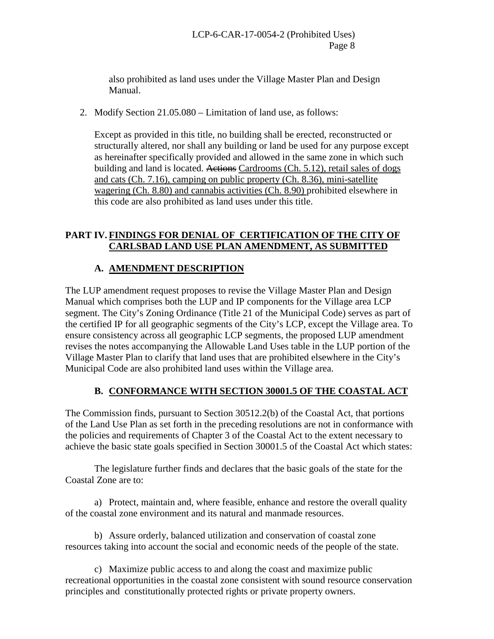also prohibited as land uses under the Village Master Plan and Design Manual.

2. Modify Section 21.05.080 – Limitation of land use, as follows:

Except as provided in this title, no building shall be erected, reconstructed or structurally altered, nor shall any building or land be used for any purpose except as hereinafter specifically provided and allowed in the same zone in which such building and land is located. Actions Cardrooms (Ch. 5.12), retail sales of dogs and cats (Ch. 7.16), camping on public property (Ch. 8.36), mini-satellite wagering (Ch. 8.80) and cannabis activities (Ch. 8.90) prohibited elsewhere in this code are also prohibited as land uses under this title.

## **PART IV. FINDINGS FOR DENIAL OF CERTIFICATION OF THE CITY OF CARLSBAD LAND USE PLAN AMENDMENT, AS SUBMITTED**

# **A. AMENDMENT DESCRIPTION**

The LUP amendment request proposes to revise the Village Master Plan and Design Manual which comprises both the LUP and IP components for the Village area LCP segment. The City's Zoning Ordinance (Title 21 of the Municipal Code) serves as part of the certified IP for all geographic segments of the City's LCP, except the Village area. To ensure consistency across all geographic LCP segments, the proposed LUP amendment revises the notes accompanying the Allowable Land Uses table in the LUP portion of the Village Master Plan to clarify that land uses that are prohibited elsewhere in the City's Municipal Code are also prohibited land uses within the Village area.

# **B. CONFORMANCE WITH SECTION 30001.5 OF THE COASTAL ACT**

The Commission finds, pursuant to Section 30512.2(b) of the Coastal Act, that portions of the Land Use Plan as set forth in the preceding resolutions are not in conformance with the policies and requirements of Chapter 3 of the Coastal Act to the extent necessary to achieve the basic state goals specified in Section 30001.5 of the Coastal Act which states:

The legislature further finds and declares that the basic goals of the state for the Coastal Zone are to:

a) Protect, maintain and, where feasible, enhance and restore the overall quality of the coastal zone environment and its natural and manmade resources.

 b) Assure orderly, balanced utilization and conservation of coastal zone resources taking into account the social and economic needs of the people of the state.

c) Maximize public access to and along the coast and maximize public recreational opportunities in the coastal zone consistent with sound resource conservation principles and constitutionally protected rights or private property owners.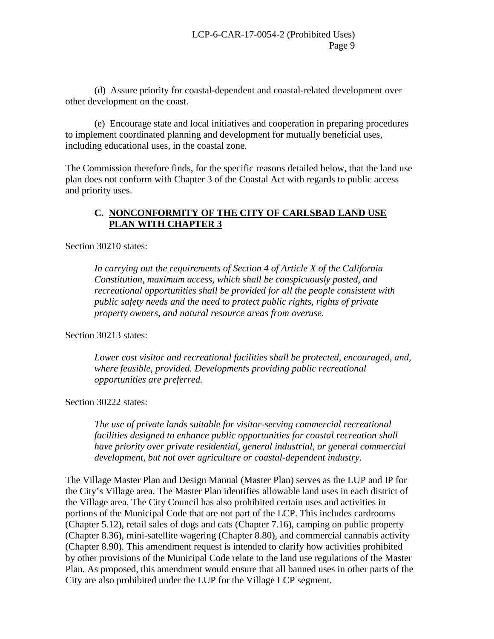(d) Assure priority for coastal-dependent and coastal-related development over other development on the coast.

 (e) Encourage state and local initiatives and cooperation in preparing procedures to implement coordinated planning and development for mutually beneficial uses, including educational uses, in the coastal zone.

The Commission therefore finds, for the specific reasons detailed below, that the land use plan does not conform with Chapter 3 of the Coastal Act with regards to public access and priority uses.

## **C. NONCONFORMITY OF THE CITY OF CARLSBAD LAND USE PLAN WITH CHAPTER 3**

Section 30210 states:

*In carrying out the requirements of Section 4 of Article X of the California Constitution, maximum access, which shall be conspicuously posted, and recreational opportunities shall be provided for all the people consistent with public safety needs and the need to protect public rights, rights of private property owners, and natural resource areas from overuse.* 

Section 30213 states:

*Lower cost visitor and recreational facilities shall be protected, encouraged, and, where feasible, provided. Developments providing public recreational opportunities are preferred.* 

Section 30222 states:

*The use of private lands suitable for visitor-serving commercial recreational facilities designed to enhance public opportunities for coastal recreation shall have priority over private residential, general industrial, or general commercial development, but not over agriculture or coastal-dependent industry.* 

The Village Master Plan and Design Manual (Master Plan) serves as the LUP and IP for the City's Village area. The Master Plan identifies allowable land uses in each district of the Village area. The City Council has also prohibited certain uses and activities in portions of the Municipal Code that are not part of the LCP. This includes cardrooms (Chapter 5.12), retail sales of dogs and cats (Chapter 7.16), camping on public property (Chapter 8.36), mini-satellite wagering (Chapter 8.80), and commercial cannabis activity (Chapter 8.90). This amendment request is intended to clarify how activities prohibited by other provisions of the Municipal Code relate to the land use regulations of the Master Plan. As proposed, this amendment would ensure that all banned uses in other parts of the City are also prohibited under the LUP for the Village LCP segment.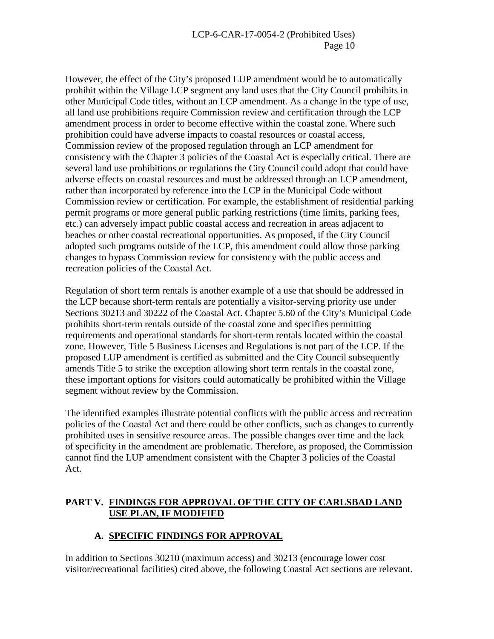However, the effect of the City's proposed LUP amendment would be to automatically prohibit within the Village LCP segment any land uses that the City Council prohibits in other Municipal Code titles, without an LCP amendment. As a change in the type of use, all land use prohibitions require Commission review and certification through the LCP amendment process in order to become effective within the coastal zone. Where such prohibition could have adverse impacts to coastal resources or coastal access, Commission review of the proposed regulation through an LCP amendment for consistency with the Chapter 3 policies of the Coastal Act is especially critical. There are several land use prohibitions or regulations the City Council could adopt that could have adverse effects on coastal resources and must be addressed through an LCP amendment, rather than incorporated by reference into the LCP in the Municipal Code without Commission review or certification. For example, the establishment of residential parking permit programs or more general public parking restrictions (time limits, parking fees, etc.) can adversely impact public coastal access and recreation in areas adjacent to beaches or other coastal recreational opportunities. As proposed, if the City Council adopted such programs outside of the LCP, this amendment could allow those parking changes to bypass Commission review for consistency with the public access and recreation policies of the Coastal Act.

Regulation of short term rentals is another example of a use that should be addressed in the LCP because short-term rentals are potentially a visitor-serving priority use under Sections 30213 and 30222 of the Coastal Act. Chapter 5.60 of the City's Municipal Code prohibits short-term rentals outside of the coastal zone and specifies permitting requirements and operational standards for short-term rentals located within the coastal zone. However, Title 5 Business Licenses and Regulations is not part of the LCP. If the proposed LUP amendment is certified as submitted and the City Council subsequently amends Title 5 to strike the exception allowing short term rentals in the coastal zone, these important options for visitors could automatically be prohibited within the Village segment without review by the Commission.

The identified examples illustrate potential conflicts with the public access and recreation policies of the Coastal Act and there could be other conflicts, such as changes to currently prohibited uses in sensitive resource areas. The possible changes over time and the lack of specificity in the amendment are problematic. Therefore, as proposed, the Commission cannot find the LUP amendment consistent with the Chapter 3 policies of the Coastal Act.

## **PART V. FINDINGS FOR APPROVAL OF THE CITY OF CARLSBAD LAND USE PLAN, IF MODIFIED**

# **A. SPECIFIC FINDINGS FOR APPROVAL**

In addition to Sections 30210 (maximum access) and 30213 (encourage lower cost visitor/recreational facilities) cited above, the following Coastal Act sections are relevant.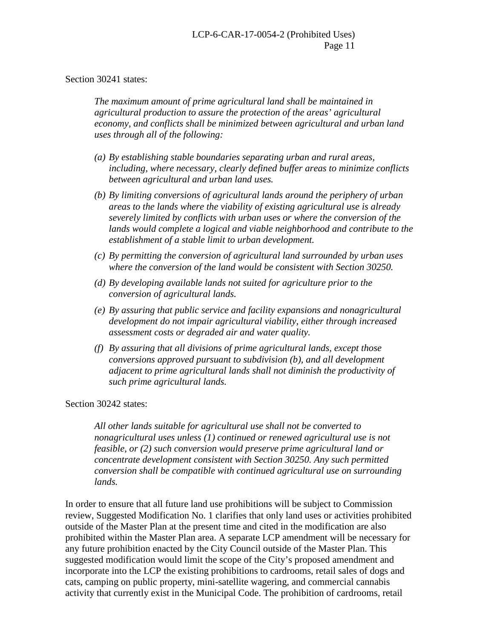#### Section 30241 states:

*The maximum amount of prime agricultural land shall be maintained in agricultural production to assure the protection of the areas' agricultural economy, and conflicts shall be minimized between agricultural and urban land uses through all of the following:*

- *(a) By establishing stable boundaries separating urban and rural areas, including, where necessary, clearly defined buffer areas to minimize conflicts between agricultural and urban land uses.*
- *(b) By limiting conversions of agricultural lands around the periphery of urban areas to the lands where the viability of existing agricultural use is already severely limited by conflicts with urban uses or where the conversion of the lands would complete a logical and viable neighborhood and contribute to the establishment of a stable limit to urban development.*
- *(c) By permitting the conversion of agricultural land surrounded by urban uses where the conversion of the land would be consistent with Section 30250.*
- *(d) By developing available lands not suited for agriculture prior to the conversion of agricultural lands.*
- *(e) By assuring that public service and facility expansions and nonagricultural development do not impair agricultural viability, either through increased assessment costs or degraded air and water quality.*
- *(f) By assuring that all divisions of prime agricultural lands, except those conversions approved pursuant to subdivision (b), and all development adjacent to prime agricultural lands shall not diminish the productivity of such prime agricultural lands.*

#### Section 30242 states:

*All other lands suitable for agricultural use shall not be converted to nonagricultural uses unless (1) continued or renewed agricultural use is not feasible, or (2) such conversion would preserve prime agricultural land or concentrate development consistent with Section 30250. Any such permitted conversion shall be compatible with continued agricultural use on surrounding lands.* 

In order to ensure that all future land use prohibitions will be subject to Commission review, Suggested Modification No. 1 clarifies that only land uses or activities prohibited outside of the Master Plan at the present time and cited in the modification are also prohibited within the Master Plan area. A separate LCP amendment will be necessary for any future prohibition enacted by the City Council outside of the Master Plan. This suggested modification would limit the scope of the City's proposed amendment and incorporate into the LCP the existing prohibitions to cardrooms, retail sales of dogs and cats, camping on public property, mini-satellite wagering, and commercial cannabis activity that currently exist in the Municipal Code. The prohibition of cardrooms, retail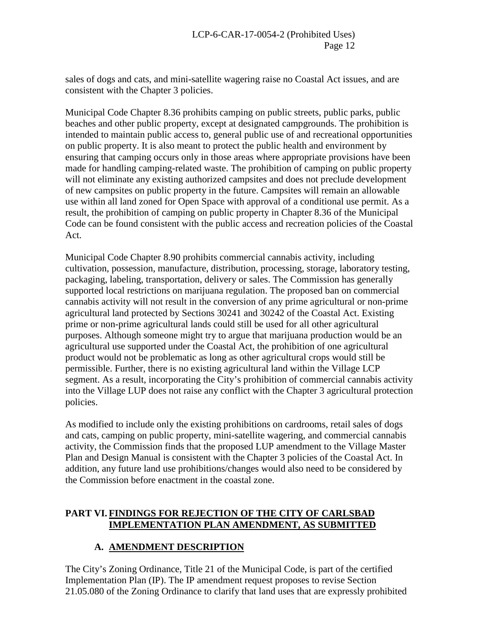sales of dogs and cats, and mini-satellite wagering raise no Coastal Act issues, and are consistent with the Chapter 3 policies.

Municipal Code Chapter 8.36 prohibits camping on public streets, public parks, public beaches and other public property, except at designated campgrounds. The prohibition is intended to maintain public access to, general public use of and recreational opportunities on public property. It is also meant to protect the public health and environment by ensuring that camping occurs only in those areas where appropriate provisions have been made for handling camping-related waste. The prohibition of camping on public property will not eliminate any existing authorized campsites and does not preclude development of new campsites on public property in the future. Campsites will remain an allowable use within all land zoned for Open Space with approval of a conditional use permit. As a result, the prohibition of camping on public property in Chapter 8.36 of the Municipal Code can be found consistent with the public access and recreation policies of the Coastal Act.

Municipal Code Chapter 8.90 prohibits commercial cannabis activity, including cultivation, possession, manufacture, distribution, processing, storage, laboratory testing, packaging, labeling, transportation, delivery or sales. The Commission has generally supported local restrictions on marijuana regulation. The proposed ban on commercial cannabis activity will not result in the conversion of any prime agricultural or non-prime agricultural land protected by Sections 30241 and 30242 of the Coastal Act. Existing prime or non-prime agricultural lands could still be used for all other agricultural purposes. Although someone might try to argue that marijuana production would be an agricultural use supported under the Coastal Act, the prohibition of one agricultural product would not be problematic as long as other agricultural crops would still be permissible. Further, there is no existing agricultural land within the Village LCP segment. As a result, incorporating the City's prohibition of commercial cannabis activity into the Village LUP does not raise any conflict with the Chapter 3 agricultural protection policies.

As modified to include only the existing prohibitions on cardrooms, retail sales of dogs and cats, camping on public property, mini-satellite wagering, and commercial cannabis activity, the Commission finds that the proposed LUP amendment to the Village Master Plan and Design Manual is consistent with the Chapter 3 policies of the Coastal Act. In addition, any future land use prohibitions/changes would also need to be considered by the Commission before enactment in the coastal zone.

## **PART VI. FINDINGS FOR REJECTION OF THE CITY OF CARLSBAD IMPLEMENTATION PLAN AMENDMENT, AS SUBMITTED**

# **A. AMENDMENT DESCRIPTION**

The City's Zoning Ordinance, Title 21 of the Municipal Code, is part of the certified Implementation Plan (IP). The IP amendment request proposes to revise Section 21.05.080 of the Zoning Ordinance to clarify that land uses that are expressly prohibited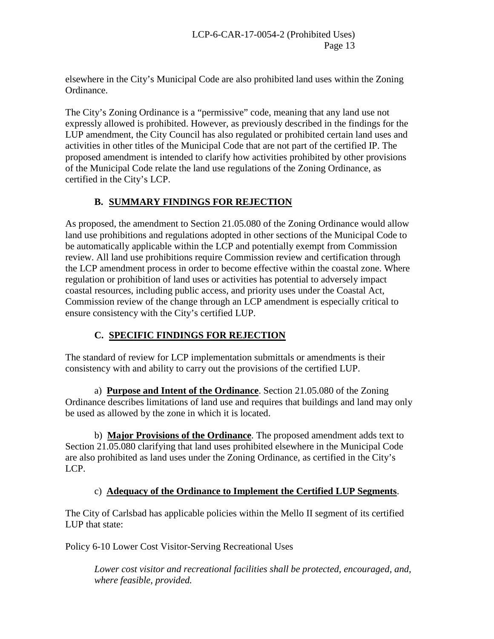elsewhere in the City's Municipal Code are also prohibited land uses within the Zoning Ordinance.

The City's Zoning Ordinance is a "permissive" code, meaning that any land use not expressly allowed is prohibited. However, as previously described in the findings for the LUP amendment, the City Council has also regulated or prohibited certain land uses and activities in other titles of the Municipal Code that are not part of the certified IP. The proposed amendment is intended to clarify how activities prohibited by other provisions of the Municipal Code relate the land use regulations of the Zoning Ordinance, as certified in the City's LCP.

# **B. SUMMARY FINDINGS FOR REJECTION**

As proposed, the amendment to Section 21.05.080 of the Zoning Ordinance would allow land use prohibitions and regulations adopted in other sections of the Municipal Code to be automatically applicable within the LCP and potentially exempt from Commission review. All land use prohibitions require Commission review and certification through the LCP amendment process in order to become effective within the coastal zone. Where regulation or prohibition of land uses or activities has potential to adversely impact coastal resources, including public access, and priority uses under the Coastal Act, Commission review of the change through an LCP amendment is especially critical to ensure consistency with the City's certified LUP.

# **C. SPECIFIC FINDINGS FOR REJECTION**

The standard of review for LCP implementation submittals or amendments is their consistency with and ability to carry out the provisions of the certified LUP.

a) **Purpose and Intent of the Ordinance**. Section 21.05.080 of the Zoning Ordinance describes limitations of land use and requires that buildings and land may only be used as allowed by the zone in which it is located.

b) **Major Provisions of the Ordinance**. The proposed amendment adds text to Section 21.05.080 clarifying that land uses prohibited elsewhere in the Municipal Code are also prohibited as land uses under the Zoning Ordinance, as certified in the City's LCP.

# c) **Adequacy of the Ordinance to Implement the Certified LUP Segments**.

The City of Carlsbad has applicable policies within the Mello II segment of its certified LUP that state:

Policy 6-10 Lower Cost Visitor-Serving Recreational Uses

*Lower cost visitor and recreational facilities shall be protected, encouraged, and, where feasible, provided.*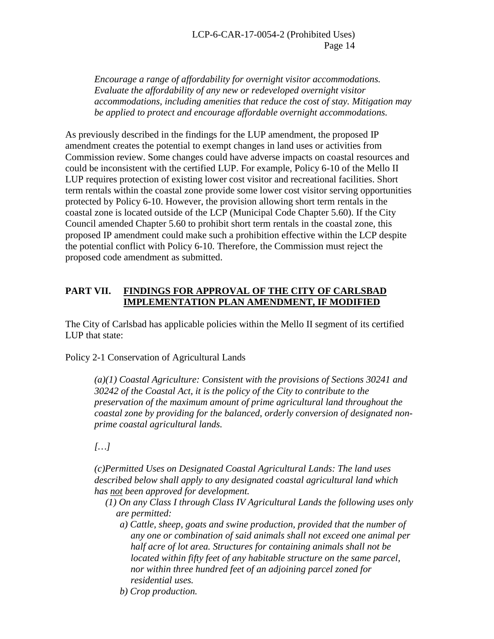*Encourage a range of affordability for overnight visitor accommodations. Evaluate the affordability of any new or redeveloped overnight visitor accommodations, including amenities that reduce the cost of stay. Mitigation may be applied to protect and encourage affordable overnight accommodations.* 

As previously described in the findings for the LUP amendment, the proposed IP amendment creates the potential to exempt changes in land uses or activities from Commission review. Some changes could have adverse impacts on coastal resources and could be inconsistent with the certified LUP. For example, Policy 6-10 of the Mello II LUP requires protection of existing lower cost visitor and recreational facilities. Short term rentals within the coastal zone provide some lower cost visitor serving opportunities protected by Policy 6-10. However, the provision allowing short term rentals in the coastal zone is located outside of the LCP (Municipal Code Chapter 5.60). If the City Council amended Chapter 5.60 to prohibit short term rentals in the coastal zone, this proposed IP amendment could make such a prohibition effective within the LCP despite the potential conflict with Policy 6-10. Therefore, the Commission must reject the proposed code amendment as submitted.

#### **PART VII. FINDINGS FOR APPROVAL OF THE CITY OF CARLSBAD IMPLEMENTATION PLAN AMENDMENT, IF MODIFIED**

The City of Carlsbad has applicable policies within the Mello II segment of its certified LUP that state:

Policy 2-1 Conservation of Agricultural Lands

*(a)(1) Coastal Agriculture: Consistent with the provisions of Sections 30241 and 30242 of the Coastal Act, it is the policy of the City to contribute to the preservation of the maximum amount of prime agricultural land throughout the coastal zone by providing for the balanced, orderly conversion of designated nonprime coastal agricultural lands.* 

*[…]*

*(c)Permitted Uses on Designated Coastal Agricultural Lands: The land uses described below shall apply to any designated coastal agricultural land which has not been approved for development.* 

- *(1) On any Class I through Class IV Agricultural Lands the following uses only are permitted:*
	- *a) Cattle, sheep, goats and swine production, provided that the number of any one or combination of said animals shall not exceed one animal per half acre of lot area. Structures for containing animals shall not be located within fifty feet of any habitable structure on the same parcel, nor within three hundred feet of an adjoining parcel zoned for residential uses.*
	- *b) Crop production.*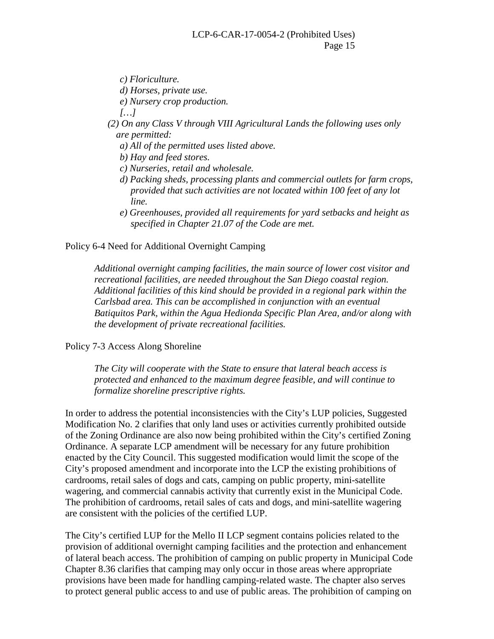*c) Floriculture.*

*d) Horses, private use.* 

*e) Nursery crop production.* 

*[…]*

 *(2) On any Class V through VIII Agricultural Lands the following uses only are permitted:* 

*a) All of the permitted uses listed above.*

*b) Hay and feed stores.* 

*c) Nurseries, retail and wholesale.* 

- *d) Packing sheds, processing plants and commercial outlets for farm crops, provided that such activities are not located within 100 feet of any lot line.*
- *e) Greenhouses, provided all requirements for yard setbacks and height as specified in Chapter 21.07 of the Code are met.*

Policy 6-4 Need for Additional Overnight Camping

*Additional overnight camping facilities, the main source of lower cost visitor and recreational facilities, are needed throughout the San Diego coastal region. Additional facilities of this kind should be provided in a regional park within the Carlsbad area. This can be accomplished in conjunction with an eventual Batiquitos Park, within the Agua Hedionda Specific Plan Area, and/or along with the development of private recreational facilities.*

Policy 7-3 Access Along Shoreline

*The City will cooperate with the State to ensure that lateral beach access is protected and enhanced to the maximum degree feasible, and will continue to formalize shoreline prescriptive rights.*

In order to address the potential inconsistencies with the City's LUP policies, Suggested Modification No. 2 clarifies that only land uses or activities currently prohibited outside of the Zoning Ordinance are also now being prohibited within the City's certified Zoning Ordinance. A separate LCP amendment will be necessary for any future prohibition enacted by the City Council. This suggested modification would limit the scope of the City's proposed amendment and incorporate into the LCP the existing prohibitions of cardrooms, retail sales of dogs and cats, camping on public property, mini-satellite wagering, and commercial cannabis activity that currently exist in the Municipal Code. The prohibition of cardrooms, retail sales of cats and dogs, and mini-satellite wagering are consistent with the policies of the certified LUP.

The City's certified LUP for the Mello II LCP segment contains policies related to the provision of additional overnight camping facilities and the protection and enhancement of lateral beach access. The prohibition of camping on public property in Municipal Code Chapter 8.36 clarifies that camping may only occur in those areas where appropriate provisions have been made for handling camping-related waste. The chapter also serves to protect general public access to and use of public areas. The prohibition of camping on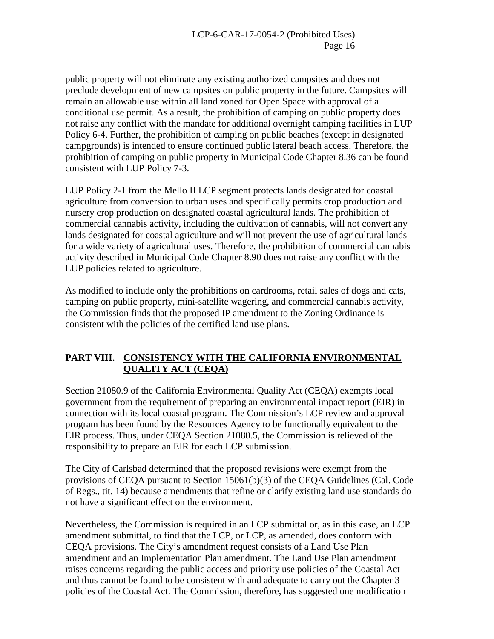public property will not eliminate any existing authorized campsites and does not preclude development of new campsites on public property in the future. Campsites will remain an allowable use within all land zoned for Open Space with approval of a conditional use permit. As a result, the prohibition of camping on public property does not raise any conflict with the mandate for additional overnight camping facilities in LUP Policy 6-4. Further, the prohibition of camping on public beaches (except in designated campgrounds) is intended to ensure continued public lateral beach access. Therefore, the prohibition of camping on public property in Municipal Code Chapter 8.36 can be found consistent with LUP Policy 7-3.

LUP Policy 2-1 from the Mello II LCP segment protects lands designated for coastal agriculture from conversion to urban uses and specifically permits crop production and nursery crop production on designated coastal agricultural lands. The prohibition of commercial cannabis activity, including the cultivation of cannabis, will not convert any lands designated for coastal agriculture and will not prevent the use of agricultural lands for a wide variety of agricultural uses. Therefore, the prohibition of commercial cannabis activity described in Municipal Code Chapter 8.90 does not raise any conflict with the LUP policies related to agriculture.

As modified to include only the prohibitions on cardrooms, retail sales of dogs and cats, camping on public property, mini-satellite wagering, and commercial cannabis activity, the Commission finds that the proposed IP amendment to the Zoning Ordinance is consistent with the policies of the certified land use plans.

## **PART VIII. CONSISTENCY WITH THE CALIFORNIA ENVIRONMENTAL QUALITY ACT (CEQA)**

Section 21080.9 of the California Environmental Quality Act (CEQA) exempts local government from the requirement of preparing an environmental impact report (EIR) in connection with its local coastal program. The Commission's LCP review and approval program has been found by the Resources Agency to be functionally equivalent to the EIR process. Thus, under CEQA Section 21080.5, the Commission is relieved of the responsibility to prepare an EIR for each LCP submission.

The City of Carlsbad determined that the proposed revisions were exempt from the provisions of CEQA pursuant to Section 15061(b)(3) of the CEQA Guidelines (Cal. Code of Regs., tit. 14) because amendments that refine or clarify existing land use standards do not have a significant effect on the environment.

Nevertheless, the Commission is required in an LCP submittal or, as in this case, an LCP amendment submittal, to find that the LCP, or LCP, as amended, does conform with CEQA provisions. The City's amendment request consists of a Land Use Plan amendment and an Implementation Plan amendment. The Land Use Plan amendment raises concerns regarding the public access and priority use policies of the Coastal Act and thus cannot be found to be consistent with and adequate to carry out the Chapter 3 policies of the Coastal Act. The Commission, therefore, has suggested one modification